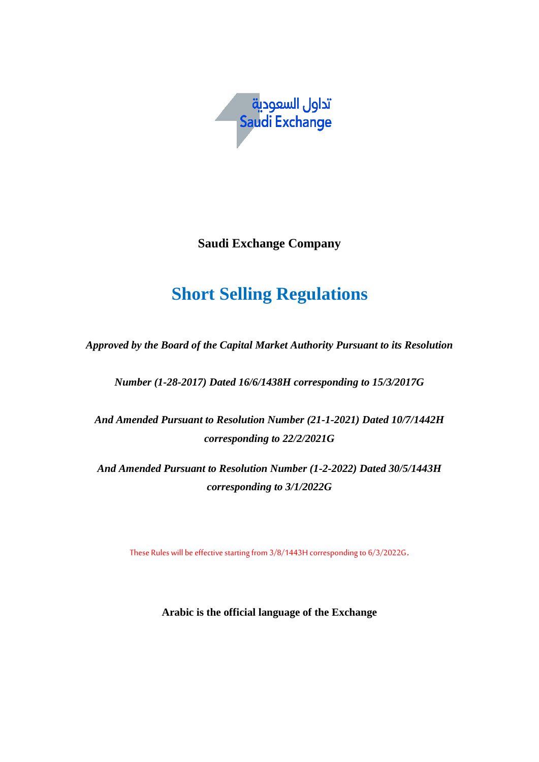

**Saudi Exchange Company**

# **Short Selling Regulations**

*Approved by the Board of the Capital Market Authority Pursuant to its Resolution* 

*Number (1-28-2017) Dated 16/6/1438H corresponding to 15/3/2017G*

*And Amended Pursuant to Resolution Number (21-1-2021) Dated 10/7/1442H corresponding to 22/2/2021G*

*And Amended Pursuant to Resolution Number (1-2-2022) Dated 30/5/1443H corresponding to 3/1/2022G*

These Rules will be effective starting from 3/8/1443H corresponding to 6/3/2022G.

**Arabic is the official language of the Exchange**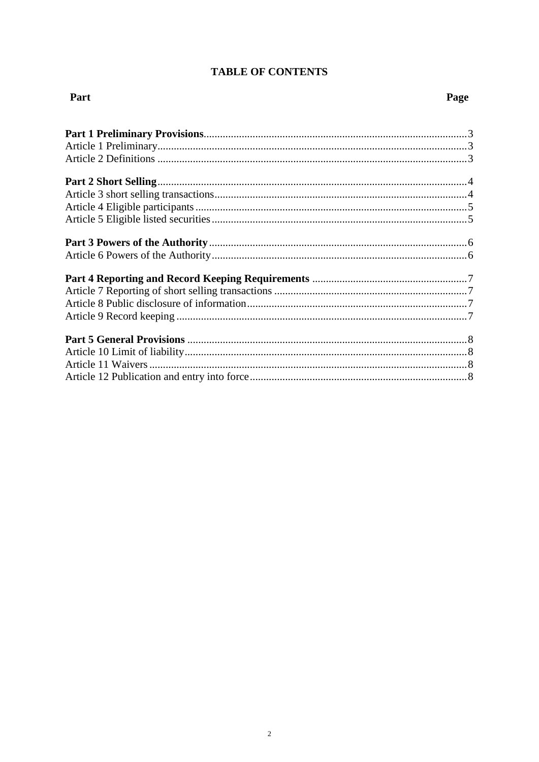# **TABLE OF CONTENTS**

# Part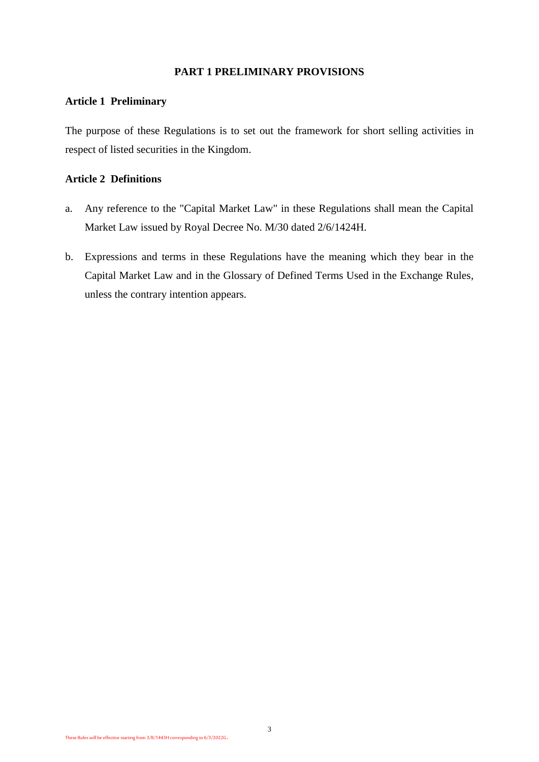#### **PART 1 PRELIMINARY PROVISIONS**

#### **Article 1 Preliminary**

The purpose of these Regulations is to set out the framework for short selling activities in respect of listed securities in the Kingdom.

## **Article 2 Definitions**

- a. Any reference to the "Capital Market Law" in these Regulations shall mean the Capital Market Law issued by Royal Decree No. M/30 dated 2/6/1424H.
- b. Expressions and terms in these Regulations have the meaning which they bear in the Capital Market Law and in the Glossary of Defined Terms Used in the Exchange Rules, unless the contrary intention appears.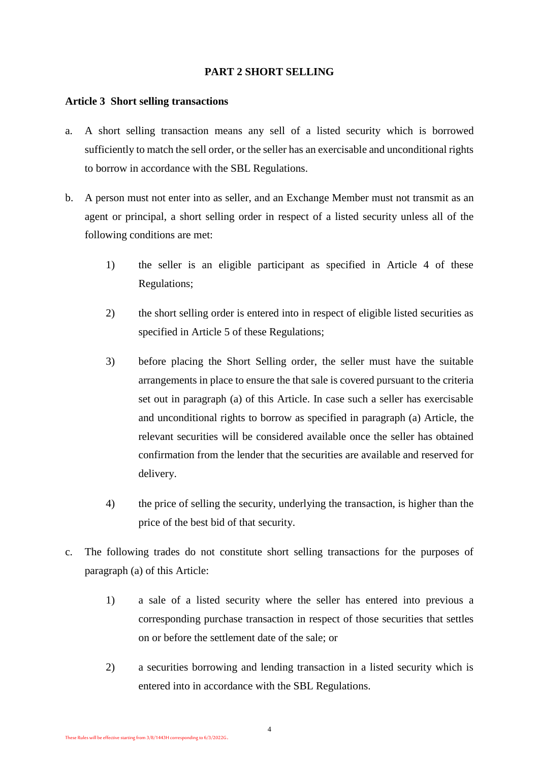## **PART 2 SHORT SELLING**

#### **Article 3 Short selling transactions**

- a. A short selling transaction means any sell of a listed security which is borrowed sufficiently to match the sell order, or the seller has an exercisable and unconditional rights to borrow in accordance with the SBL Regulations.
- b. A person must not enter into as seller, and an Exchange Member must not transmit as an agent or principal, a short selling order in respect of a listed security unless all of the following conditions are met:
	- 1) the seller is an eligible participant as specified in Article 4 of these Regulations;
	- 2) the short selling order is entered into in respect of eligible listed securities as specified in Article 5 of these Regulations;
	- 3) before placing the Short Selling order, the seller must have the suitable arrangements in place to ensure the that sale is covered pursuant to the criteria set out in paragraph (a) of this Article. In case such a seller has exercisable and unconditional rights to borrow as specified in paragraph (a) Article, the relevant securities will be considered available once the seller has obtained confirmation from the lender that the securities are available and reserved for delivery.
	- 4) the price of selling the security, underlying the transaction, is higher than the price of the best bid of that security.
- c. The following trades do not constitute short selling transactions for the purposes of paragraph (a) of this Article:
	- 1) a sale of a listed security where the seller has entered into previous a corresponding purchase transaction in respect of those securities that settles on or before the settlement date of the sale; or
	- 2) a securities borrowing and lending transaction in a listed security which is entered into in accordance with the SBL Regulations.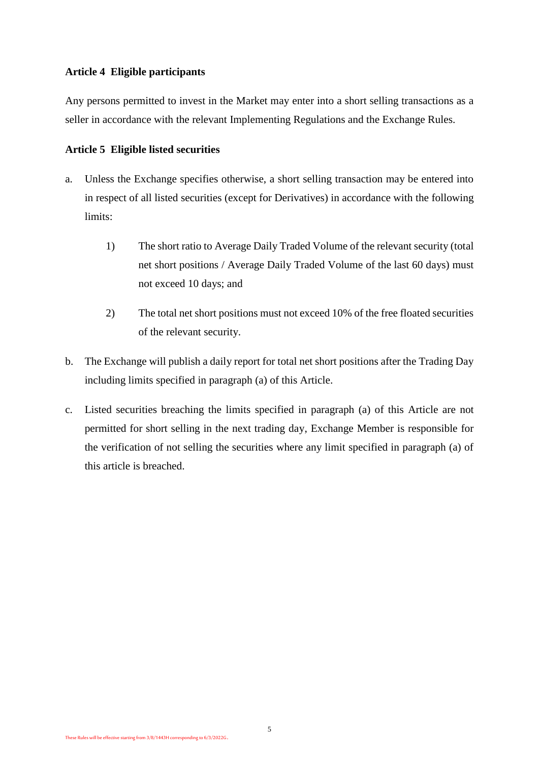## **Article 4 Eligible participants**

Any persons permitted to invest in the Market may enter into a short selling transactions as a seller in accordance with the relevant Implementing Regulations and the Exchange Rules.

#### **Article 5 Eligible listed securities**

- a. Unless the Exchange specifies otherwise, a short selling transaction may be entered into in respect of all listed securities (except for Derivatives) in accordance with the following limits:
	- 1) The short ratio to Average Daily Traded Volume of the relevant security (total net short positions / Average Daily Traded Volume of the last 60 days) must not exceed 10 days; and
	- 2) The total net short positions must not exceed 10% of the free floated securities of the relevant security.
- b. The Exchange will publish a daily report for total net short positions after the Trading Day including limits specified in paragraph (a) of this Article.
- c. Listed securities breaching the limits specified in paragraph (a) of this Article are not permitted for short selling in the next trading day, Exchange Member is responsible for the verification of not selling the securities where any limit specified in paragraph (a) of this article is breached.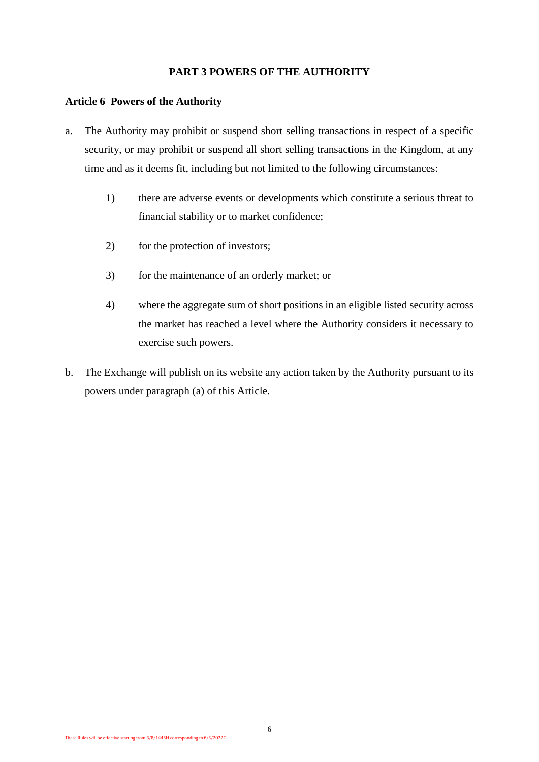### **PART 3 POWERS OF THE AUTHORITY**

#### **Article 6 Powers of the Authority**

- a. The Authority may prohibit or suspend short selling transactions in respect of a specific security, or may prohibit or suspend all short selling transactions in the Kingdom, at any time and as it deems fit, including but not limited to the following circumstances:
	- 1) there are adverse events or developments which constitute a serious threat to financial stability or to market confidence;
	- 2) for the protection of investors;
	- 3) for the maintenance of an orderly market; or
	- 4) where the aggregate sum of short positions in an eligible listed security across the market has reached a level where the Authority considers it necessary to exercise such powers.
- b. The Exchange will publish on its website any action taken by the Authority pursuant to its powers under paragraph (a) of this Article.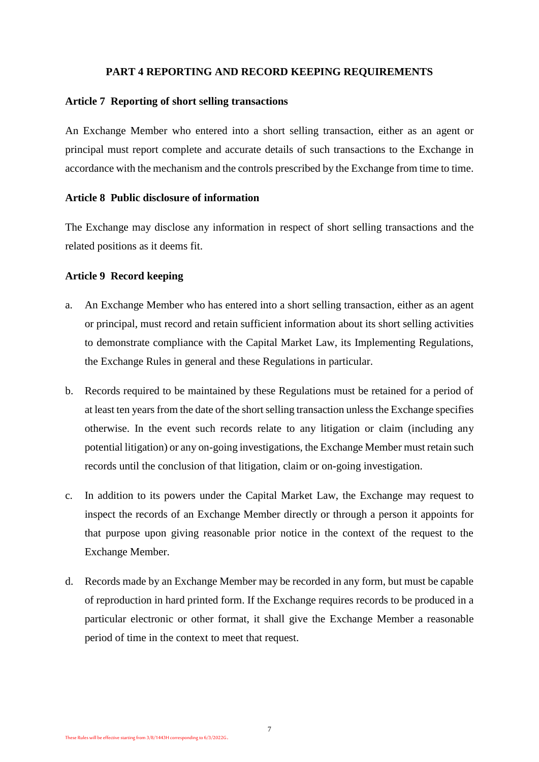#### **PART 4 REPORTING AND RECORD KEEPING REQUIREMENTS**

#### **Article 7 Reporting of short selling transactions**

An Exchange Member who entered into a short selling transaction, either as an agent or principal must report complete and accurate details of such transactions to the Exchange in accordance with the mechanism and the controls prescribed by the Exchange from time to time.

#### **Article 8 Public disclosure of information**

The Exchange may disclose any information in respect of short selling transactions and the related positions as it deems fit.

## **Article 9 Record keeping**

- a. An Exchange Member who has entered into a short selling transaction, either as an agent or principal, must record and retain sufficient information about its short selling activities to demonstrate compliance with the Capital Market Law, its Implementing Regulations, the Exchange Rules in general and these Regulations in particular.
- b. Records required to be maintained by these Regulations must be retained for a period of at least ten years from the date of the short selling transaction unless the Exchange specifies otherwise. In the event such records relate to any litigation or claim (including any potential litigation) or any on-going investigations, the Exchange Member must retain such records until the conclusion of that litigation, claim or on-going investigation.
- c. In addition to its powers under the Capital Market Law, the Exchange may request to inspect the records of an Exchange Member directly or through a person it appoints for that purpose upon giving reasonable prior notice in the context of the request to the Exchange Member.
- d. Records made by an Exchange Member may be recorded in any form, but must be capable of reproduction in hard printed form. If the Exchange requires records to be produced in a particular electronic or other format, it shall give the Exchange Member a reasonable period of time in the context to meet that request.